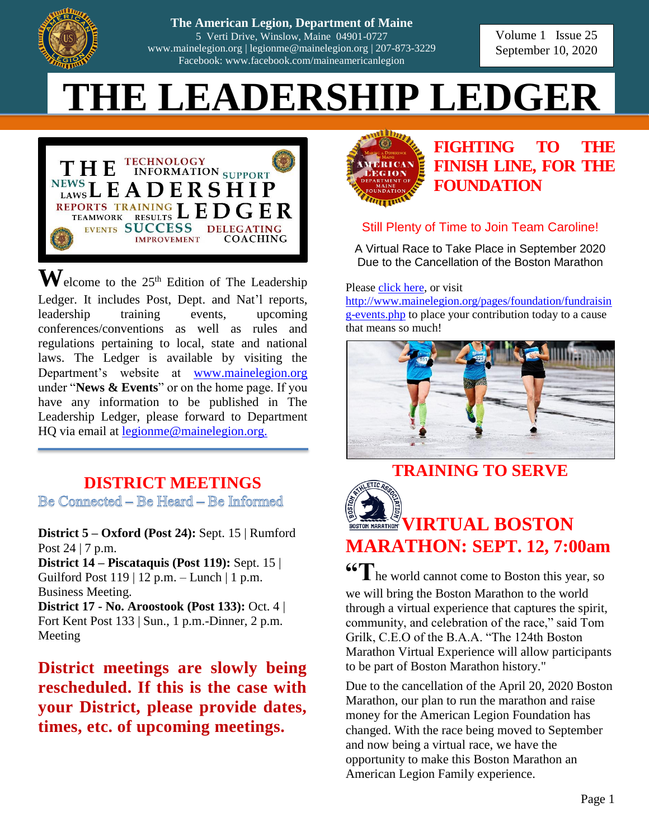

| 207-873-3229 **The American Legion, Dep The American Legion, Department of Maine Failet Ican Legion, Department of Maine**<br>5 Verti Drive, Winslow, Maine 04901-0727 **District Officer Contract Officer Form from** *Form from <b>Form* from **Form** [www.mainelegion.org](http://www.mainelegion.org/) | [legionme@mainelegion.org](mailto:legionme@mainelegion.org) | 207-873-3229 Facebook: www.facebook.com/maineamericanlegion

**We have the 207-873-3229 September 10, 2020** Volume 1 Issue 25

# $THE LEADERSHIP LEDGER$



 $\mathbf{W}$ elcome to the 25<sup>th</sup> Edition of The Leadership Ledger. It includes Post, Dept. and Nat'l reports, leadership training events, upcoming conferences/conventions as well as rules and regulations pertaining to local, state and national laws. The Ledger is available by visiting the Department's website at [www.mainelegion.org](http://www.mainelegion.org/) under "**News & Events**" or on the home page. If you have any information to be published in The Leadership Ledger, please forward to Department HQ via email at [legionme@mainelegion.org.](mailto:legionme@mainelegion.org)

#### **DISTRICT MEETINGS**

Be Connected - Be Heard - Be Informed

**District 5 – Oxford (Post 24):** Sept. 15 | Rumford Post 24 | 7 p.m.

**District 14 – Piscataquis (Post 119):** Sept. 15 | Guilford Post 119 | 12 p.m. – Lunch | 1 p.m. Business Meeting.

**District 17 - No. Aroostook (Post 133):** Oct. 4 | Fort Kent Post 133 | Sun., 1 p.m.-Dinner, 2 p.m. Meeting

**District meetings are slowly being rescheduled. If this is the case with your District, please provide dates, times, etc. of upcoming meetings.**



## **[FIGHTING TO THE](https://www.gofundme.com/f/5hx779-a-cause-i-care-about-needs-help?utm_source=customer&utm_medium=copy_link&utm_campaign=p_cf+share-flow-1)  [FINISH LINE, FOR THE](https://www.gofundme.com/f/5hx779-a-cause-i-care-about-needs-help?utm_source=customer&utm_medium=copy_link&utm_campaign=p_cf+share-flow-1)  [FOUNDATION](https://www.gofundme.com/f/5hx779-a-cause-i-care-about-needs-help?utm_source=customer&utm_medium=copy_link&utm_campaign=p_cf+share-flow-1)**

#### Still Plenty of Time to Join Team Caroline!

A Virtual Race to Take Place in September 2020 Due to the Cancellation of the Boston Marathon

Please [click here,](https://www.gofundme.com/f/5hx779-a-cause-i-care-about-needs-help?utm_source=customer&utm_medium=copy_link&utm_campaign=p_cf+share-flow-1) or visit

[http://www.mainelegion.org/pages/foundation/fundraisin](http://www.mainelegion.org/pages/foundation/fundraising-events.php) [g-events.php](http://www.mainelegion.org/pages/foundation/fundraising-events.php) to place your contribution today to a cause that means so much!



# **TRAINING TO SERVE**



# **VIRTUAL BOSTON MARATHON: SEPT. 12, 7:00am**

**"The world cannot come to Boston this year, so** we will bring the Boston Marathon to the world through a virtual experience that captures the spirit, community, and celebration of the race," said Tom Grilk, C.E.O of the B.A.A. "The 124th Boston Marathon Virtual Experience will allow participants to be part of Boston Marathon history."

Due to the cancellation of the April 20, 2020 Boston Marathon, our plan to run the marathon and raise money for the American Legion Foundation has changed. With the race being moved to September and now being a virtual race, we have the opportunity to make this Boston Marathon an American Legion Family experience.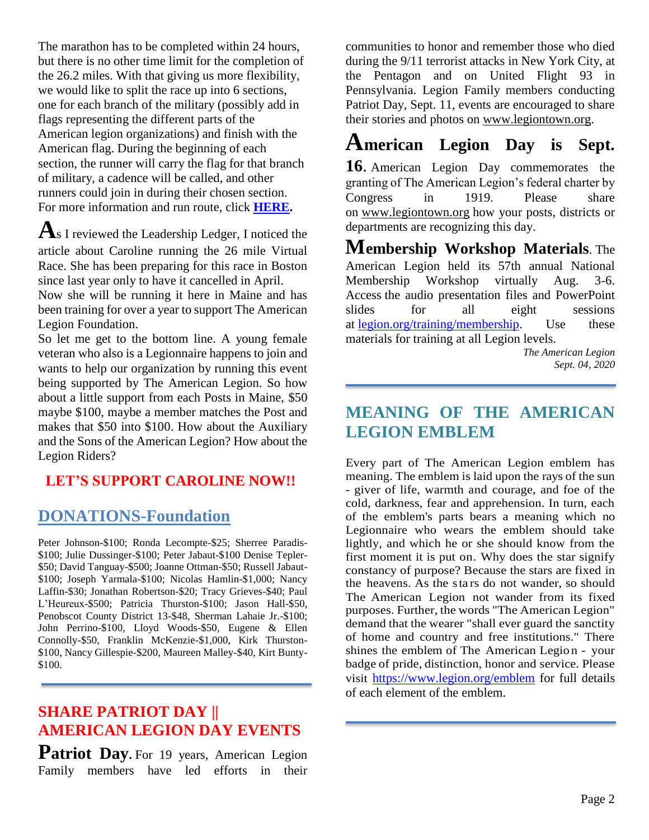The marathon has to be completed within 24 hours, but there is no other time limit for the completion of the 26.2 miles. With that giving us more flexibility, we would like to split the race up into 6 sections, one for each branch of the military (possibly add in flags representing the different parts of the American legion organizations) and finish with the American flag. During the beginning of each section, the runner will carry the flag for that branch of military, a cadence will be called, and other runners could join in during their chosen section. For more information and run route, click **[HERE.](http://www.mainelegion.org/pages/foundation/donate/fundraising-events.php)**

**A**s I reviewed the Leadership Ledger, I noticed the article about Caroline running the 26 mile Virtual Race. She has been preparing for this race in Boston since last year only to have it cancelled in April.

Now she will be running it here in Maine and has been training for over a year to support The American Legion Foundation.

So let me get to the bottom line. A young female veteran who also is a Legionnaire happens to join and wants to help our organization by running this event being supported by The American Legion. So how about a little support from each Posts in Maine, \$50 maybe \$100, maybe a member matches the Post and makes that \$50 into \$100. How about the Auxiliary and the Sons of the American Legion? How about the Legion Riders?

#### **LET'S SUPPORT CAROLINE NOW!!**

#### **DONATIONS-Foundation**

Peter Johnson-\$100; Ronda Lecompte-\$25; Sherree Paradis- \$100; Julie Dussinger-\$100; Peter Jabaut-\$100 Denise Tepler- \$50; David Tanguay-\$500; Joanne Ottman-\$50; Russell Jabaut- \$100; Joseph Yarmala-\$100; Nicolas Hamlin-\$1,000; Nancy Laffin-\$30; Jonathan Robertson-\$20; Tracy Grieves-\$40; Paul L'Heureux-\$500; Patricia Thurston-\$100; Jason Hall-\$50, Penobscot County District 13-\$48, Sherman Lahaie Jr.-\$100; John Perrino-\$100, Lloyd Woods-\$50, Eugene & Ellen Connolly-\$50, Franklin McKenzie-\$1,000, Kirk Thurston- \$100, Nancy Gillespie-\$200, Maureen Malley-\$40, Kirt Bunty- \$100.

#### **SHARE PATRIOT DAY || AMERICAN LEGION DAY EVENTS**

**Patriot Day.** For 19 years, American Legion Family members have led efforts in their

communities to honor and remember those who died during the 9/11 terrorist attacks in New York City, at the Pentagon and on United Flight 93 in Pennsylvania. Legion Family members conducting Patriot Day, Sept. 11, events are encouraged to share their stories and photos on [www.legiontown.org.](http://www.legiontown.org/)

# **American Legion Day is Sept.**

**16**. American Legion Day commemorates the granting of The American Legion's federal charter by Congress in 1919. Please share on [www.legiontown.org](http://www.legiontown.org/) how your posts, districts or departments are recognizing this day.

**Membership Workshop Materials**. The American Legion held its 57th annual National Membership Workshop virtually Aug. 3-6. Access the audio presentation files and PowerPoint slides for all eight sessions at [legion.org/training/membership.](https://www.legion.org/training/membership) Use these materials for training at all Legion levels.

> *The American Legion Sept. 04, 2020*

#### **MEANING OF THE AMERICAN LEGION EMBLEM**

Every part of The American Legion emblem has meaning. The emblem is laid upon the rays of the sun - giver of life, warmth and courage, and foe of the cold, darkness, fear and apprehension. In turn, each of the emblem's parts bears a meaning which no Legionnaire who wears the emblem should take lightly, and which he or she should know from the first moment it is put on. Why does the star signify constancy of purpose? Because the stars are fixed in the heavens. As the stars do not wander, so should The American Legion not wander from its fixed purposes. Further, the words "The American Legion" demand that the wearer "shall ever guard the sanctity of home and country and free institutions." There shines the emblem of The American Legio n - your badge of pride, distinction, honor and service. Please visit <https://www.legion.org/emblem> for full details of each element of the emblem.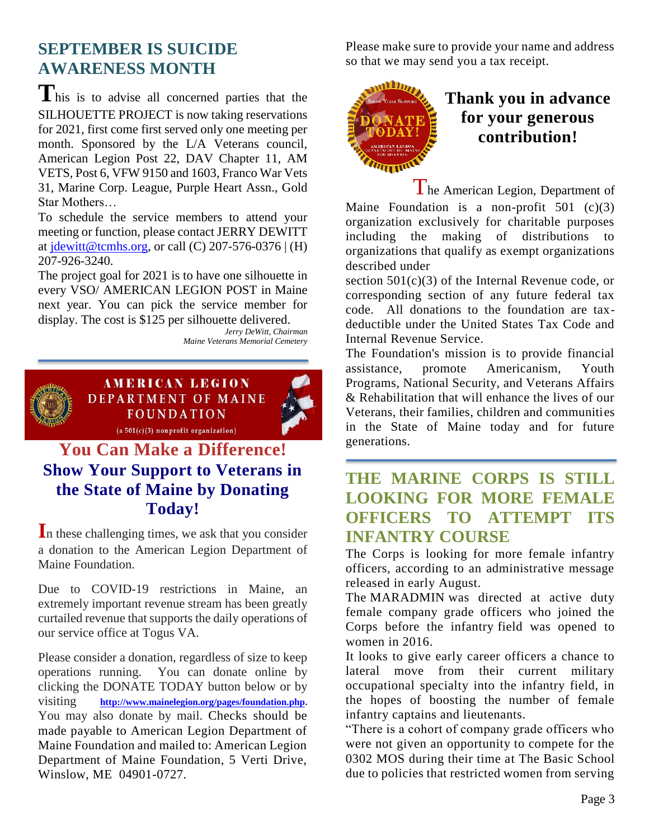#### **SEPTEMBER IS SUICIDE AWARENESS MONTH**

**T**his is to advise all concerned parties that the SILHOUETTE PROJECT is now taking reservations for 2021, first come first served only one meeting per month. Sponsored by the L/A Veterans council, American Legion Post 22, DAV Chapter 11, AM VETS, Post 6, VFW 9150 and 1603, Franco War Vets 31, Marine Corp. League, Purple Heart Assn., Gold Star Mothers…

To schedule the service members to attend your meeting or function, please contact JERRY DEWITT at  $\text{identity}$  idewitt@tcmhs.org, or call (C) 207-576-0376 | (H) 207-926-3240.

The project goal for 2021 is to have one silhouette in every VSO/ AMERICAN LEGION POST in Maine next year. You can pick the service member for display. The cost is \$125 per silhouette delivered.

*Jerry DeWitt, Chairman Maine Veterans Memorial Cemetery*



**AMERICAN LEGION DEPARTMENT OF MAINE FOUNDATION**  $(a 501(c)(3)$  nonprofit organization)

## **You Can Make a Difference! Show Your Support to Veterans in the State of Maine by Donating Today!**

**I**n these challenging times, we ask that you consider a donation to the American Legion Department of Maine Foundation.

Due to COVID-19 restrictions in Maine, an extremely important revenue stream has been greatly curtailed revenue that supports the daily operations of our service office at Togus VA.

Please consider a donation, regardless of size to keep operations running. You can donate online by clicking the DONATE TODAY button below or by visiting **[http://www.mainelegion.org/pages/foundation.php.](http://www.mainelegion.org/pages/foundation.php)**  You may also donate by mail. Checks should be made payable to American Legion Department of Maine Foundation and mailed to: American Legion Department of Maine Foundation, 5 Verti Drive, Winslow, ME 04901-0727.

Please make sure to provide your name and address so that we may send you a tax receipt.



#### **Thank you in advance for your generous contribution!**

The American Legion, Department of Maine Foundation is a non-profit  $501$  (c)(3) organization exclusively for charitable purposes including the making of distributions to organizations that qualify as exempt organizations described under

section  $501(c)(3)$  of the Internal Revenue code, or corresponding section of any future federal tax code. All donations to the foundation are taxdeductible under the United States Tax Code and Internal Revenue Service.

The Foundation's mission is to provide financial assistance, promote Americanism, Youth Programs, National Security, and Veterans Affairs & Rehabilitation that will enhance the lives of our Veterans, their families, children and communities in the State of Maine today and for future generations.

**THE MARINE CORPS IS STILL LOOKING FOR MORE FEMALE OFFICERS TO ATTEMPT ITS INFANTRY COURSE**

The Corps is looking for more female infantry officers, according to an administrative message released in early August.

The MARADMIN was directed at active duty female company grade officers who joined the Corps before the infantry field was opened to women in 2016.

It looks to give early career officers a chance to lateral move from their current military occupational specialty into the infantry field, in the hopes of boosting the number of female infantry captains and lieutenants.

"There is a cohort of company grade officers who were not given an opportunity to compete for the 0302 MOS during their time at The Basic School due to policies that restricted women from serving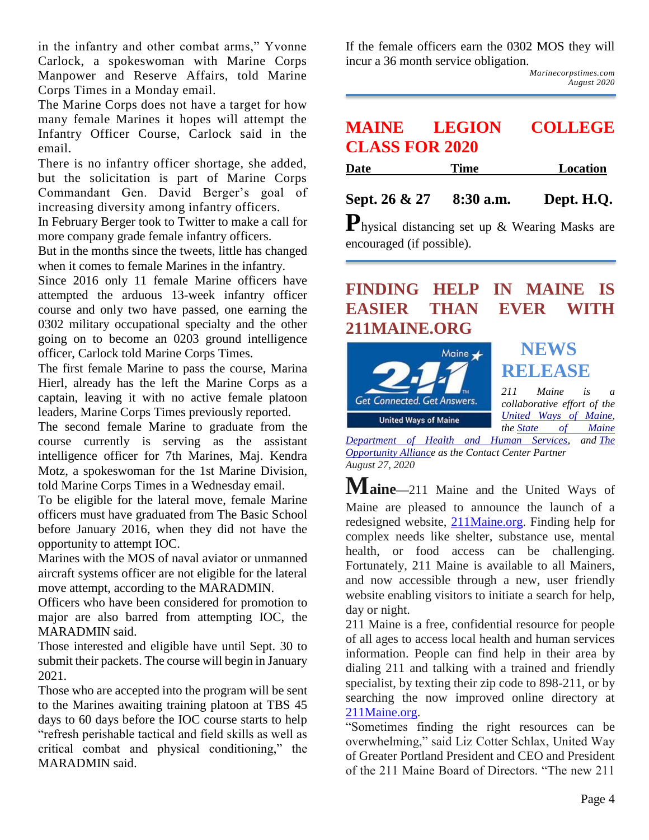in the infantry and other combat arms," Yvonne Carlock, a spokeswoman with Marine Corps Manpower and Reserve Affairs, told Marine Corps Times in a Monday email.

The Marine Corps does not have a target for how many female Marines it hopes will attempt the Infantry Officer Course, Carlock said in the email.

There is no infantry officer shortage, she added, but the solicitation is part of Marine Corps Commandant Gen. David Berger's goal of increasing diversity among infantry officers.

In February Berger took to Twitter to make a call for more company grade female infantry officers.

But in the months since the tweets, little has changed when it comes to female Marines in the infantry.

Since 2016 only 11 female Marine officers have attempted the arduous 13-week infantry officer course and only two have passed, one earning the 0302 military occupational specialty and the other going on to become an 0203 ground intelligence officer, Carlock told Marine Corps Times.

The first female Marine to pass the course, Marina Hierl, already has the left the Marine Corps as a captain, leaving it with no active female platoon leaders, Marine Corps Times previously reported.

The second female Marine to graduate from the course currently is serving as the assistant intelligence officer for 7th Marines, Maj. Kendra Motz, a spokeswoman for the 1st Marine Division, told Marine Corps Times in a Wednesday email.

To be eligible for the lateral move, female Marine officers must have graduated from The Basic School before January 2016, when they did not have the opportunity to attempt IOC.

Marines with the MOS of naval aviator or unmanned aircraft systems officer are not eligible for the lateral move attempt, according to the MARADMIN.

Officers who have been considered for promotion to major are also barred from attempting IOC, the MARADMIN said.

Those interested and eligible have until Sept. 30 to submit their packets. The course will begin in January 2021.

Those who are accepted into the program will be sent to the Marines awaiting training platoon at TBS 45 days to 60 days before the IOC course starts to help "refresh perishable tactical and field skills as well as critical combat and physical conditioning," the MARADMIN said.

If the female officers earn the 0302 MOS they will incur a 36 month service obligation.

*Marinecorpstimes.com August 2020*

#### **MAINE LEGION COLLEGE CLASS FOR 2020**

| <b>Date</b> | <b>Time</b> | Location |
|-------------|-------------|----------|
|             |             |          |

**Sept. 26 & 27 8:30 a.m. Dept. H.Q.**

**P**hysical distancing set up & Wearing Masks are encouraged (if possible).

#### **FINDING HELP IN MAINE IS EASIER THAN EVER WITH 211MAINE.ORG**



*[Department of Health and Human Services,](http://r20.rs6.net/tn.jsp?f=001VgrjbNvXeVCsmXWXeMSlfLGtTbmHNmSL-nuUnUKVUVme5J7tmBGN5zpuCQ9yG7pieiNs8aIVFCgVZ8oWoYSXj7yALTgixr1IUu9DfPJ45FZcFLQaRgh3XdWiFS-kAJgmWFW9qtbqQG5Cl3YYELZSAQ==&c=RU1LV7tbyg2FYoj0d2-InivorFfJx3uZXb_eQOZReatlNZrS0jUzng==&ch=ZowNGhWKz7RFkPm-5lBJqek_1WZidBRXj2eqkZ9jy-K0xd1a5ZBFjg==) and [The](http://r20.rs6.net/tn.jsp?f=001VgrjbNvXeVCsmXWXeMSlfLGtTbmHNmSL-nuUnUKVUVme5J7tmBGN5zjH2gsaj6YfvRBo21l57-V_nRz-TOQ02BiuRNxH_A4dOpd44BSFnJdHbNwfYwtlHRAsUx5GRLwu0atrNsLOFkKt8dssPnSSmbuU2_3INS4w&c=RU1LV7tbyg2FYoj0d2-InivorFfJx3uZXb_eQOZReatlNZrS0jUzng==&ch=ZowNGhWKz7RFkPm-5lBJqek_1WZidBRXj2eqkZ9jy-K0xd1a5ZBFjg==)  [Opportunity Alliance](http://r20.rs6.net/tn.jsp?f=001VgrjbNvXeVCsmXWXeMSlfLGtTbmHNmSL-nuUnUKVUVme5J7tmBGN5zjH2gsaj6YfvRBo21l57-V_nRz-TOQ02BiuRNxH_A4dOpd44BSFnJdHbNwfYwtlHRAsUx5GRLwu0atrNsLOFkKt8dssPnSSmbuU2_3INS4w&c=RU1LV7tbyg2FYoj0d2-InivorFfJx3uZXb_eQOZReatlNZrS0jUzng==&ch=ZowNGhWKz7RFkPm-5lBJqek_1WZidBRXj2eqkZ9jy-K0xd1a5ZBFjg==) as the Contact Center Partner August 27, 2020*

**Maine—**211 Maine and the United Ways of Maine are pleased to announce the launch of a redesigned website, [211Maine.org.](http://r20.rs6.net/tn.jsp?f=001VgrjbNvXeVCsmXWXeMSlfLGtTbmHNmSL-nuUnUKVUVme5J7tmBGN55CEcd8Kahqj-vj3z9uZPgznI6gZLdiECvwINA_qFGFkhLRHuseQraNLk-Ht88rFeieND5Y8_muJbRnP6U02HSM=&c=RU1LV7tbyg2FYoj0d2-InivorFfJx3uZXb_eQOZReatlNZrS0jUzng==&ch=ZowNGhWKz7RFkPm-5lBJqek_1WZidBRXj2eqkZ9jy-K0xd1a5ZBFjg==) Finding help for complex needs like shelter, substance use, mental health, or food access can be challenging. Fortunately, 211 Maine is available to all Mainers, and now accessible through a new, user friendly website enabling visitors to initiate a search for help, day or night.

211 Maine is a free, confidential resource for people of all ages to access local health and human services information. People can find help in their area by dialing 211 and talking with a trained and friendly specialist, by texting their zip code to 898-211, or by searching the now improved online directory at [211Maine.org.](http://r20.rs6.net/tn.jsp?f=001VgrjbNvXeVCsmXWXeMSlfLGtTbmHNmSL-nuUnUKVUVme5J7tmBGN55CEcd8Kahqj-vj3z9uZPgznI6gZLdiECvwINA_qFGFkhLRHuseQraNLk-Ht88rFeieND5Y8_muJbRnP6U02HSM=&c=RU1LV7tbyg2FYoj0d2-InivorFfJx3uZXb_eQOZReatlNZrS0jUzng==&ch=ZowNGhWKz7RFkPm-5lBJqek_1WZidBRXj2eqkZ9jy-K0xd1a5ZBFjg==)

"Sometimes finding the right resources can be overwhelming," said Liz Cotter Schlax, United Way of Greater Portland President and CEO and President of the 211 Maine Board of Directors. "The new 211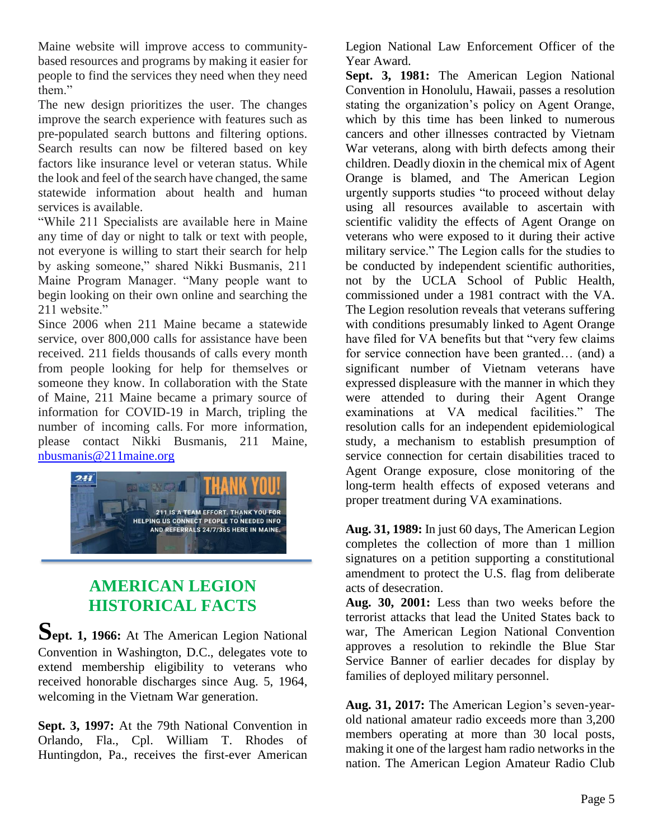Maine website will improve access to communitybased resources and programs by making it easier for people to find the services they need when they need them."

The new design prioritizes the user. The changes improve the search experience with features such as pre-populated search buttons and filtering options. Search results can now be filtered based on key factors like insurance level or veteran status. While the look and feel of the search have changed, the same statewide information about health and human services is available.

"While 211 Specialists are available here in Maine any time of day or night to talk or text with people, not everyone is willing to start their search for help by asking someone," shared Nikki Busmanis, 211 Maine Program Manager. "Many people want to begin looking on their own online and searching the 211 website."

Since 2006 when 211 Maine became a statewide service, over 800,000 calls for assistance have been received. 211 fields thousands of calls every month from people looking for help for themselves or someone they know. In collaboration with the State of Maine, 211 Maine became a primary source of information for COVID-19 in March, tripling the number of incoming calls. For more information, please contact Nikki Busmanis, 211 Maine, [nbusmanis@211maine.org](mailto:nbusmanis@211maine.org)



#### **AMERICAN LEGION HISTORICAL FACTS**

Sept. 1, 1966: At The American Legion National Convention in Washington, D.C., delegates vote to extend membership eligibility to veterans who received honorable discharges since Aug. 5, 1964, welcoming in the Vietnam War generation.

**Sept. 3, 1997:** At the 79th National Convention in Orlando, Fla., Cpl. William T. Rhodes of Huntingdon, Pa., receives the first-ever American Legion National Law Enforcement Officer of the Year Award.

**Sept. 3, 1981:** The American Legion National Convention in Honolulu, Hawaii, passes a resolution stating the organization's policy on Agent Orange, which by this time has been linked to numerous cancers and other illnesses contracted by Vietnam War veterans, along with birth defects among their children. Deadly dioxin in the chemical mix of Agent Orange is blamed, and The American Legion urgently supports studies "to proceed without delay using all resources available to ascertain with scientific validity the effects of Agent Orange on veterans who were exposed to it during their active military service." The Legion calls for the studies to be conducted by independent scientific authorities, not by the UCLA School of Public Health, commissioned under a 1981 contract with the VA. The Legion resolution reveals that veterans suffering with conditions presumably linked to Agent Orange have filed for VA benefits but that "very few claims for service connection have been granted… (and) a significant number of Vietnam veterans have expressed displeasure with the manner in which they were attended to during their Agent Orange examinations at VA medical facilities." The resolution calls for an independent epidemiological study, a mechanism to establish presumption of service connection for certain disabilities traced to Agent Orange exposure, close monitoring of the long-term health effects of exposed veterans and proper treatment during VA examinations.

**Aug. 31, 1989:** In just 60 days, The American Legion completes the collection of more than 1 million signatures on a petition supporting a constitutional amendment to protect the U.S. flag from deliberate acts of desecration.

**Aug. 30, 2001:** Less than two weeks before the terrorist attacks that lead the United States back to war, The American Legion National Convention approves a resolution to rekindle the Blue Star Service Banner of earlier decades for display by families of deployed military personnel.

**Aug. 31, 2017:** The American Legion's seven-yearold national amateur radio exceeds more than 3,200 members operating at more than 30 local posts, making it one of the largest ham radio networks in the nation. The American Legion Amateur Radio Club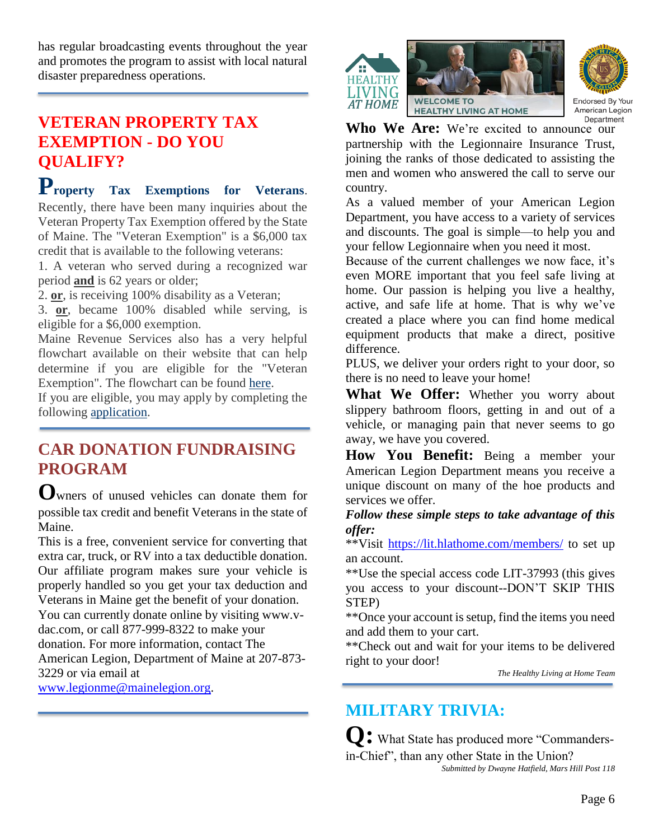has regular broadcasting events throughout the year and promotes the program to assist with local natural disaster preparedness operations.

#### **VETERAN PROPERTY TAX EXEMPTION - DO YOU QUALIFY?**

**Property Tax Exemptions for Veterans**.

Recently, there have been many inquiries about the Veteran Property Tax Exemption offered by the State of Maine. The "Veteran Exemption" is a \$6,000 tax credit that is available to the following veterans:

1. A veteran who served during a recognized war period **and** is 62 years or older;

2. **or**, is receiving 100% disability as a Veteran;

3. **or**, became 100% disabled while serving, is eligible for a \$6,000 exemption.

Maine Revenue Services also has a very helpful flowchart available on their website that can help determine if you are eligible for the "Veteran Exemption". The flowchart can be found [here.](https://iqconnect.lmhostediq.com/IQExtranet/iqClickTrk.aspx?&cid=MaineVets&crop=14209.5291981.5011068.7014287&report_id=&redirect=https%3a%2f%2fwww.maine.gov%2frevenue%2fpropertytax%2fsidebar%2fvetflowchart.pdf&redir_log=040695923132473)

If you are eligible, you may apply by completing the following [application.](https://iqconnect.lmhostediq.com/IQExtranet/iqClickTrk.aspx?&cid=MaineVets&crop=14209.5291981.5011068.7014287&report_id=&redirect=https%3a%2f%2fwww.maine.gov%2frevenue%2fforms%2fproperty%2fapps%2fveteranapp.pdf&redir_log=548464020415456)

#### **CAR DONATION FUNDRAISING PROGRAM**

**O**wners of unused vehicles can donate them for possible tax credit and benefit Veterans in the state of Maine.

This is a free, convenient service for converting that extra car, truck, or RV into a tax deductible donation. Our affiliate program makes sure your vehicle is properly handled so you get your tax deduction and Veterans in Maine get the benefit of your donation. You can currently donate online by visiting www.vdac.com, or call 877-999-8322 to make your donation. For more information, contact The American Legion, Department of Maine at 207-873- 3229 or via email at

[www.legionme@mainelegion.org.](http://www.legionme@mainelegion.org)





Endorsed By Your American Legion

Who We Are: We're excited to announce our partnership with the Legionnaire Insurance Trust, joining the ranks of those dedicated to assisting the men and women who answered the call to serve our country.

As a valued member of your American Legion Department, you have access to a variety of services and discounts. The goal is simple—to help you and your fellow Legionnaire when you need it most.

Because of the current challenges we now face, it's even MORE important that you feel safe living at home. Our passion is helping you live a healthy, active, and safe life at home. That is why we've created a place where you can find home medical equipment products that make a direct, positive difference.

PLUS, we deliver your orders right to your door, so there is no need to leave your home!

**What We Offer:** Whether you worry about slippery bathroom floors, getting in and out of a vehicle, or managing pain that never seems to go away, we have you covered.

**How You Benefit:** Being a member your American Legion Department means you receive a unique discount on many of the hoe products and services we offer.

*Follow these simple steps to take advantage of this offer:*

\*\*Visit<https://lit.hlathome.com/members/> to set up an account.

\*\*Use the special access code LIT-37993 (this gives you access to your discount--DON'T SKIP THIS STEP)

\*\*Once your account is setup, find the items you need and add them to your cart.

\*\*Check out and wait for your items to be delivered right to your door!

*The Healthy Living at Home Team*

# **MILITARY TRIVIA:**

**Q:** What State has produced more "Commandersin-Chief", than any other State in the Union? *Submitted by Dwayne Hatfield, Mars Hill Post 118*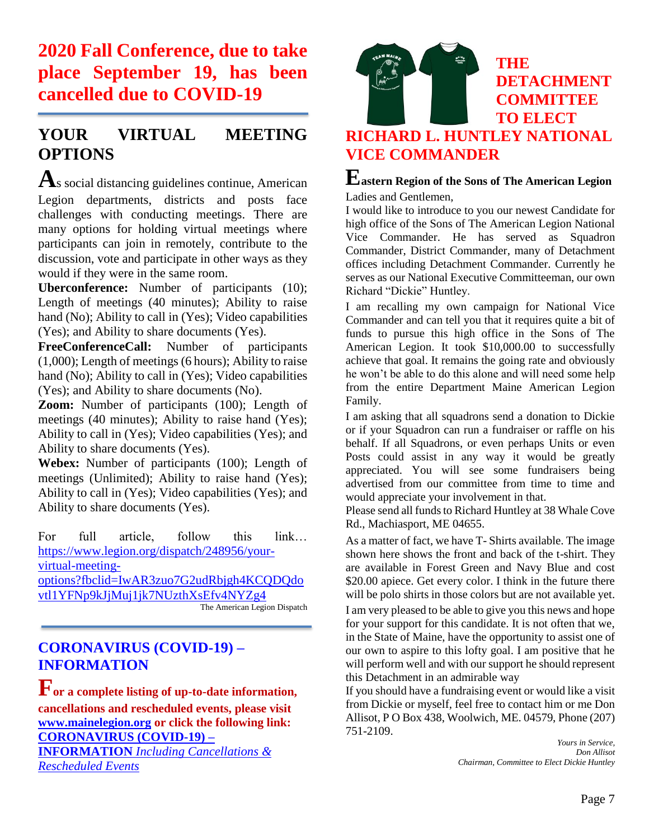**2020 Fall Conference, due to take place September 19, has been cancelled due to COVID-19**

#### **YOUR VIRTUAL MEETING OPTIONS**

**A**s social distancing guidelines continue, American Legion departments, districts and posts face challenges with conducting meetings. There are many options for holding virtual meetings where participants can join in remotely, contribute to the discussion, vote and participate in other ways as they would if they were in the same room.

**Uberconference:** Number of participants (10); Length of meetings (40 minutes); Ability to raise hand (No); Ability to call in (Yes); Video capabilities (Yes); and Ability to share documents (Yes).

**FreeConferenceCall:** Number of participants (1,000); Length of meetings (6 hours); Ability to raise hand (No); Ability to call in (Yes); Video capabilities (Yes); and Ability to share documents (No).

**Zoom:** Number of participants (100); Length of meetings (40 minutes); Ability to raise hand (Yes); Ability to call in (Yes); Video capabilities (Yes); and Ability to share documents (Yes).

**Webex:** Number of participants (100); Length of meetings (Unlimited); Ability to raise hand (Yes); Ability to call in (Yes); Video capabilities (Yes); and Ability to share documents (Yes).

For full article, follow this link… [https://www.legion.org/dispatch/248956/your](https://www.legion.org/dispatch/248956/your-virtual-meeting-options?fbclid=IwAR3zuo7G2udRbjgh4KCQDQdovtl1YFNp9kJjMuj1jk7NUzthXsEfv4NYZg4)[virtual-meeting-](https://www.legion.org/dispatch/248956/your-virtual-meeting-options?fbclid=IwAR3zuo7G2udRbjgh4KCQDQdovtl1YFNp9kJjMuj1jk7NUzthXsEfv4NYZg4)

[options?fbclid=IwAR3zuo7G2udRbjgh4KCQDQdo](https://www.legion.org/dispatch/248956/your-virtual-meeting-options?fbclid=IwAR3zuo7G2udRbjgh4KCQDQdovtl1YFNp9kJjMuj1jk7NUzthXsEfv4NYZg4) [vtl1YFNp9kJjMuj1jk7NUzthXsEfv4NYZg4](https://www.legion.org/dispatch/248956/your-virtual-meeting-options?fbclid=IwAR3zuo7G2udRbjgh4KCQDQdovtl1YFNp9kJjMuj1jk7NUzthXsEfv4NYZg4)

The American Legion Dispatch

#### **[CORONAVIRUS \(COVID-19\) –](http://www.mainelegion.org/pages/news-events/covid-19-info.php) [INFORMATION](http://www.mainelegion.org/pages/news-events/covid-19-info.php)**

**For a complete listing of up-to-date information, cancellations and rescheduled events, please visit [www.mainelegion.org](http://www.mainelegion.org/) or click the following link: [CORONAVIRUS \(COVID-19\) –](http://www.mainelegion.org/pages/news-events/covid-19-info.php)**

**INFORMATION** *[Including Cancellations &](http://www.mainelegion.org/pages/news-events/covid-19-info.php)  [Rescheduled Events](http://www.mainelegion.org/pages/news-events/covid-19-info.php)*



#### **THE 13 DETACHMENT COMMITTEE TO ELECT**

#### **RICHARD L. HUNTLEY NATIONAL VICE COMMANDER**

#### **Eastern Region of the Sons of The American Legion** Ladies and Gentlemen,

I would like to introduce to you our newest Candidate for high office of the Sons of The American Legion National Vice Commander. He has served as Squadron Commander, District Commander, many of Detachment offices including Detachment Commander. Currently he serves as our National Executive Committeeman, our own Richard "Dickie" Huntley.

I am recalling my own campaign for National Vice Commander and can tell you that it requires quite a bit of funds to pursue this high office in the Sons of The American Legion. It took \$10,000.00 to successfully achieve that goal. It remains the going rate and obviously he won't be able to do this alone and will need some help from the entire Department Maine American Legion Family.

I am asking that all squadrons send a donation to Dickie or if your Squadron can run a fundraiser or raffle on his behalf. If all Squadrons, or even perhaps Units or even Posts could assist in any way it would be greatly appreciated. You will see some fundraisers being advertised from our committee from time to time and would appreciate your involvement in that.

Please send all funds to Richard Huntley at 38 Whale Cove Rd., Machiasport, ME 04655.

As a matter of fact, we have T- Shirts available. The image shown here shows the front and back of the t-shirt. They are available in Forest Green and Navy Blue and cost \$20.00 apiece. Get every color. I think in the future there will be polo shirts in those colors but are not available yet.

I am very pleased to be able to give you this news and hope for your support for this candidate. It is not often that we, in the State of Maine, have the opportunity to assist one of our own to aspire to this lofty goal. I am positive that he will perform well and with our support he should represent this Detachment in an admirable way

If you should have a fundraising event or would like a visit from Dickie or myself, feel free to contact him or me Don Allisot, P O Box 438, Woolwich, ME. 04579, Phone (207) 751-2109.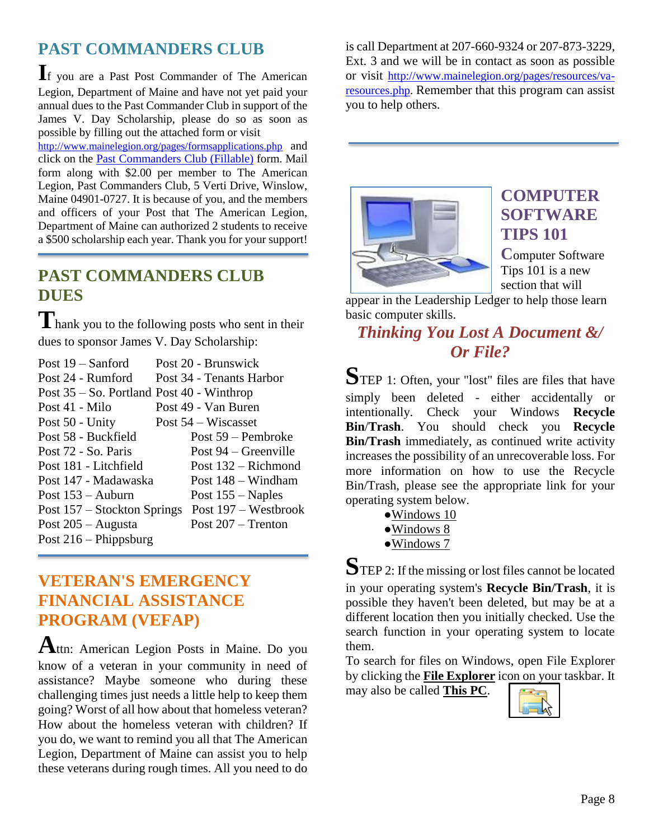## **PAST COMMANDERS CLUB**

**I**f you are a Past Post Commander of The American Legion, Department of Maine and have not yet paid your annual dues to the Past Commander Club in support of the James V. Day Scholarship, please do so as soon as possible by filling out the attached form or visit

<http://www.mainelegion.org/pages/formsapplications.php> and click on the [Past Commanders Club \(Fillable\)](http://www.mainelegion.org/media/LEADERSHIP_LEDGER/PCC_2018_FILLABLE_2.pdf) form. Mail form along with \$2.00 per member to The American Legion, Past Commanders Club, 5 Verti Drive, Winslow, Maine 04901-0727. It is because of you, and the members and officers of your Post that The American Legion, Department of Maine can authorized 2 students to receive a \$500 scholarship each year. Thank you for your support!

# **PAST COMMANDERS CLUB DUES**

Thank you to the following posts who sent in their dues to sponsor James V. Day Scholarship:

| Post $19 -$ Sanford                           | Post 20 - Brunswick      |
|-----------------------------------------------|--------------------------|
| Post 24 - Rumford                             | Post 34 - Tenants Harbor |
| Post $35 -$ So. Portland Post $40$ - Winthrop |                          |
| Post 41 - Milo                                | Post 49 - Van Buren      |
| Post 50 - Unity                               | Post $54$ – Wiscasset    |
| Post 58 - Buckfield                           | Post 59 – Pembroke       |
| Post 72 - So. Paris                           | Post $94 -$ Greenville   |
| Post 181 - Litchfield                         | Post $132 -$ Richmond    |
| Post 147 - Madawaska                          | Post $148 -$ Windham     |
| Post $153 -$ Auburn                           | Post $155 -$ Naples      |
| Post 157 – Stockton Springs                   | Post 197 – Westbrook     |
| Post $205 -$ Augusta                          | Post $207 -$ Trenton     |
| Post $216$ – Phippsburg                       |                          |
|                                               |                          |

#### **VETERAN'S EMERGENCY FINANCIAL ASSISTANCE PROGRAM (VEFAP)**

**A**ttn: American Legion Posts in Maine. Do you know of a veteran in your community in need of assistance? Maybe someone who during these challenging times just needs a little help to keep them going? Worst of all how about that homeless veteran? How about the homeless veteran with children? If you do, we want to remind you all that The American Legion, Department of Maine can assist you to help these veterans during rough times. All you need to do

is call Department at 207-660-9324 or 207-873-3229, Ext. 3 and we will be in contact as soon as possible or visit [http://www.mainelegion.org/pages/resources/va](http://www.mainelegion.org/pages/resources/va-resources.php)[resources.php.](http://www.mainelegion.org/pages/resources/va-resources.php) Remember that this program can assist you to help others.



#### **COMPUTER SOFTWARE TIPS 101**

**C**omputer Software Tips 101 is a new section that will

appear in the Leadership Ledger to help those learn basic computer skills.

#### *Thinking You Lost A Document &/ Or File?*

**S**TEP 1: Often, your "lost" files are files that have simply been deleted - either accidentally or intentionally. Check your Windows **Recycle Bin**/**Trash**. You should check you **Recycle Bin/Trash** immediately, as continued write activity increases the possibility of an unrecoverable loss. For more information on how to use the Recycle Bin/Trash, please see the appropriate link for your operating system below.

- [●Windows 10](https://support.microsoft.com/en-us/help/4026350/windows-find-the-recycle-bin)
- [●Windows 8](https://support.microsoft.com/en-us/help/15057/windows-show-hide-recycle-bin)
- [●Windows 7](https://support.microsoft.com/en-us/help/15057/windows-show-hide-recycle-bin)

**S**TEP 2: If the missing or lost files cannot be located in your operating system's **Recycle Bin/Trash**, it is possible they haven't been deleted, but may be at a different location then you initially checked. Use the search function in your operating system to locate them.

To search for files on Windows, open File Explorer by clicking the **File Explorer** icon on your taskbar. It

may also be called **This PC**.